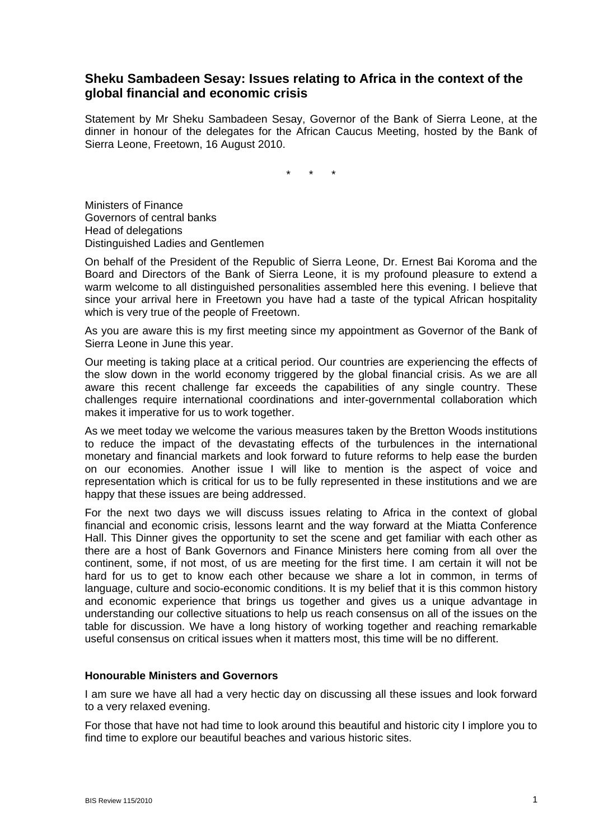## **Sheku Sambadeen Sesay: Issues relating to Africa in the context of the global financial and economic crisis**

Statement by Mr Sheku Sambadeen Sesay, Governor of the Bank of Sierra Leone, at the dinner in honour of the delegates for the African Caucus Meeting, hosted by the Bank of Sierra Leone, Freetown, 16 August 2010.

\* \* \*

Ministers of Finance Governors of central banks Head of delegations Distinguished Ladies and Gentlemen

On behalf of the President of the Republic of Sierra Leone, Dr. Ernest Bai Koroma and the Board and Directors of the Bank of Sierra Leone, it is my profound pleasure to extend a warm welcome to all distinguished personalities assembled here this evening. I believe that since your arrival here in Freetown you have had a taste of the typical African hospitality which is very true of the people of Freetown.

As you are aware this is my first meeting since my appointment as Governor of the Bank of Sierra Leone in June this year.

Our meeting is taking place at a critical period. Our countries are experiencing the effects of the slow down in the world economy triggered by the global financial crisis. As we are all aware this recent challenge far exceeds the capabilities of any single country. These challenges require international coordinations and inter-governmental collaboration which makes it imperative for us to work together.

As we meet today we welcome the various measures taken by the Bretton Woods institutions to reduce the impact of the devastating effects of the turbulences in the international monetary and financial markets and look forward to future reforms to help ease the burden on our economies. Another issue I will like to mention is the aspect of voice and representation which is critical for us to be fully represented in these institutions and we are happy that these issues are being addressed.

For the next two days we will discuss issues relating to Africa in the context of global financial and economic crisis, lessons learnt and the way forward at the Miatta Conference Hall. This Dinner gives the opportunity to set the scene and get familiar with each other as there are a host of Bank Governors and Finance Ministers here coming from all over the continent, some, if not most, of us are meeting for the first time. I am certain it will not be hard for us to get to know each other because we share a lot in common, in terms of language, culture and socio-economic conditions. It is my belief that it is this common history and economic experience that brings us together and gives us a unique advantage in understanding our collective situations to help us reach consensus on all of the issues on the table for discussion. We have a long history of working together and reaching remarkable useful consensus on critical issues when it matters most, this time will be no different.

## **Honourable Ministers and Governors**

I am sure we have all had a very hectic day on discussing all these issues and look forward to a very relaxed evening.

For those that have not had time to look around this beautiful and historic city I implore you to find time to explore our beautiful beaches and various historic sites.